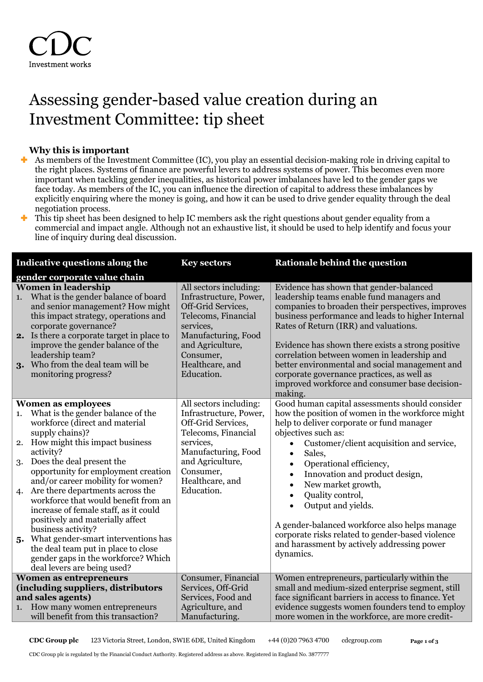## Assessing gender-based value creation during an Investment Committee: tip sheet

## **Why this is important**

- As members of the Investment Committee (IC), you play an essential decision-making role in driving capital to the right places. Systems of finance are powerful levers to address systems of power. This becomes even more important when tackling gender inequalities, as historical power imbalances have led to the gender gaps we face today. As members of the IC, you can influence the direction of capital to address these imbalances by explicitly enquiring where the money is going, and how it can be used to drive gender equality through the deal negotiation process.
- This tip sheet has been designed to help IC members ask the right questions about gender equality from a commercial and impact angle. Although not an exhaustive list, it should be used to help identify and focus your line of inquiry during deal discussion.

| Indicative questions along the     |                                                                                                                                                                                                                                                                                                                                                                                                                                                                                                                                                                                            | <b>Key sectors</b>                                                                                                                                                                                  | <b>Rationale behind the question</b>                                                                                                                                                                                                                                                                                                                                                                                                                                                                                                                                |  |  |
|------------------------------------|--------------------------------------------------------------------------------------------------------------------------------------------------------------------------------------------------------------------------------------------------------------------------------------------------------------------------------------------------------------------------------------------------------------------------------------------------------------------------------------------------------------------------------------------------------------------------------------------|-----------------------------------------------------------------------------------------------------------------------------------------------------------------------------------------------------|---------------------------------------------------------------------------------------------------------------------------------------------------------------------------------------------------------------------------------------------------------------------------------------------------------------------------------------------------------------------------------------------------------------------------------------------------------------------------------------------------------------------------------------------------------------------|--|--|
|                                    | gender corporate value chain                                                                                                                                                                                                                                                                                                                                                                                                                                                                                                                                                               |                                                                                                                                                                                                     |                                                                                                                                                                                                                                                                                                                                                                                                                                                                                                                                                                     |  |  |
| 1.                                 | <b>Women in leadership</b><br>What is the gender balance of board<br>and senior management? How might<br>this impact strategy, operations and<br>corporate governance?<br>2. Is there a corporate target in place to<br>improve the gender balance of the<br>leadership team?<br>3. Who from the deal team will be<br>monitoring progress?                                                                                                                                                                                                                                                 | All sectors including:<br>Infrastructure, Power,<br>Off-Grid Services,<br>Telecoms, Financial<br>services,<br>Manufacturing, Food<br>and Agriculture,<br>Consumer,<br>Healthcare, and<br>Education. | Evidence has shown that gender-balanced<br>leadership teams enable fund managers and<br>companies to broaden their perspectives, improves<br>business performance and leads to higher Internal<br>Rates of Return (IRR) and valuations.<br>Evidence has shown there exists a strong positive<br>correlation between women in leadership and<br>better environmental and social management and<br>corporate governance practices, as well as<br>improved workforce and consumer base decision-<br>making.                                                            |  |  |
|                                    | <b>Women as employees</b>                                                                                                                                                                                                                                                                                                                                                                                                                                                                                                                                                                  | All sectors including:                                                                                                                                                                              | Good human capital assessments should consider                                                                                                                                                                                                                                                                                                                                                                                                                                                                                                                      |  |  |
| 1.<br>3.                           | What is the gender balance of the<br>workforce (direct and material<br>supply chains)?<br>2. How might this impact business<br>activity?<br>Does the deal present the<br>opportunity for employment creation<br>and/or career mobility for women?<br>4. Are there departments across the<br>workforce that would benefit from an<br>increase of female staff, as it could<br>positively and materially affect<br>business activity?<br>5. What gender-smart interventions has<br>the deal team put in place to close<br>gender gaps in the workforce? Which<br>deal levers are being used? | Infrastructure, Power,<br>Off-Grid Services,<br>Telecoms, Financial<br>services,<br>Manufacturing, Food<br>and Agriculture,<br>Consumer,<br>Healthcare, and<br>Education.                           | how the position of women in the workforce might<br>help to deliver corporate or fund manager<br>objectives such as:<br>Customer/client acquisition and service,<br>$\bullet$<br>Sales,<br>$\bullet$<br>Operational efficiency,<br>$\bullet$<br>Innovation and product design,<br>$\bullet$<br>New market growth,<br>$\bullet$<br>Quality control,<br>$\bullet$<br>Output and yields.<br>$\bullet$<br>A gender-balanced workforce also helps manage<br>corporate risks related to gender-based violence<br>and harassment by actively addressing power<br>dynamics. |  |  |
| <b>Women as entrepreneurs</b>      |                                                                                                                                                                                                                                                                                                                                                                                                                                                                                                                                                                                            | Consumer, Financial                                                                                                                                                                                 | Women entrepreneurs, particularly within the                                                                                                                                                                                                                                                                                                                                                                                                                                                                                                                        |  |  |
| (including suppliers, distributors |                                                                                                                                                                                                                                                                                                                                                                                                                                                                                                                                                                                            | Services, Off-Grid                                                                                                                                                                                  | small and medium-sized enterprise segment, still                                                                                                                                                                                                                                                                                                                                                                                                                                                                                                                    |  |  |
| and sales agents)                  |                                                                                                                                                                                                                                                                                                                                                                                                                                                                                                                                                                                            | Services, Food and                                                                                                                                                                                  | face significant barriers in access to finance. Yet                                                                                                                                                                                                                                                                                                                                                                                                                                                                                                                 |  |  |
|                                    | 1. How many women entrepreneurs                                                                                                                                                                                                                                                                                                                                                                                                                                                                                                                                                            | Agriculture, and                                                                                                                                                                                    | evidence suggests women founders tend to employ                                                                                                                                                                                                                                                                                                                                                                                                                                                                                                                     |  |  |
|                                    | will benefit from this transaction?                                                                                                                                                                                                                                                                                                                                                                                                                                                                                                                                                        | Manufacturing.                                                                                                                                                                                      | more women in the workforce, are more credit-                                                                                                                                                                                                                                                                                                                                                                                                                                                                                                                       |  |  |

**CDC Group plc** 123 Victoria Street, London, SW1E 6DE, United Kingdom +44 (0)20 7963 4700 cdcgroup.com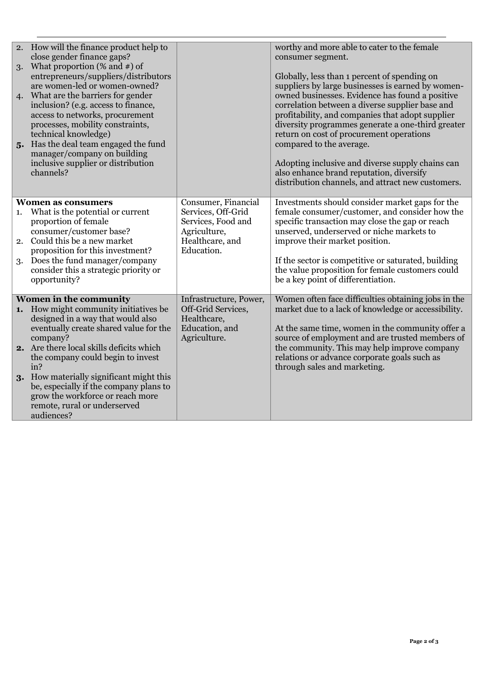|                                                                                                     | 2. How will the finance product help to<br>close gender finance gaps?   |                                | worthy and more able to cater to the female<br>consumer segment.                                    |
|-----------------------------------------------------------------------------------------------------|-------------------------------------------------------------------------|--------------------------------|-----------------------------------------------------------------------------------------------------|
| 3.                                                                                                  | What proportion $(\%$ and $\#)$ of                                      |                                |                                                                                                     |
|                                                                                                     | entrepreneurs/suppliers/distributors                                    |                                | Globally, less than 1 percent of spending on                                                        |
|                                                                                                     | are women-led or women-owned?                                           |                                | suppliers by large businesses is earned by women-                                                   |
| 4.                                                                                                  | What are the barriers for gender<br>inclusion? (e.g. access to finance, |                                | owned businesses. Evidence has found a positive<br>correlation between a diverse supplier base and  |
|                                                                                                     | access to networks, procurement                                         |                                | profitability, and companies that adopt supplier                                                    |
|                                                                                                     | processes, mobility constraints,                                        |                                | diversity programmes generate a one-third greater                                                   |
|                                                                                                     | technical knowledge)                                                    |                                | return on cost of procurement operations                                                            |
|                                                                                                     | 5. Has the deal team engaged the fund                                   |                                | compared to the average.                                                                            |
|                                                                                                     | manager/company on building                                             |                                |                                                                                                     |
|                                                                                                     | inclusive supplier or distribution                                      |                                | Adopting inclusive and diverse supply chains can                                                    |
|                                                                                                     | channels?                                                               |                                | also enhance brand reputation, diversify                                                            |
|                                                                                                     |                                                                         |                                | distribution channels, and attract new customers.                                                   |
| Consumer, Financial<br>Investments should consider market gaps for the<br><b>Women as consumers</b> |                                                                         |                                |                                                                                                     |
| 1.                                                                                                  | What is the potential or current                                        | Services, Off-Grid             | female consumer/customer, and consider how the                                                      |
|                                                                                                     | proportion of female                                                    | Services, Food and             | specific transaction may close the gap or reach                                                     |
|                                                                                                     | consumer/customer base?                                                 | Agriculture,                   | unserved, underserved or niche markets to                                                           |
|                                                                                                     | 2. Could this be a new market                                           | Healthcare, and<br>Education.  | improve their market position.                                                                      |
| 3.                                                                                                  | proposition for this investment?<br>Does the fund manager/company       |                                | If the sector is competitive or saturated, building                                                 |
|                                                                                                     | consider this a strategic priority or                                   |                                | the value proposition for female customers could                                                    |
|                                                                                                     | opportunity?                                                            |                                | be a key point of differentiation.                                                                  |
|                                                                                                     |                                                                         |                                |                                                                                                     |
|                                                                                                     | Women in the community                                                  | Infrastructure, Power,         | Women often face difficulties obtaining jobs in the                                                 |
|                                                                                                     | 1. How might community initiatives be                                   | Off-Grid Services,             | market due to a lack of knowledge or accessibility.                                                 |
|                                                                                                     | designed in a way that would also                                       | Healthcare,                    |                                                                                                     |
|                                                                                                     | eventually create shared value for the<br>company?                      | Education, and<br>Agriculture. | At the same time, women in the community offer a<br>source of employment and are trusted members of |
|                                                                                                     | 2. Are there local skills deficits which                                |                                | the community. This may help improve company                                                        |
|                                                                                                     | the company could begin to invest                                       |                                | relations or advance corporate goals such as                                                        |
|                                                                                                     | in?                                                                     |                                | through sales and marketing.                                                                        |
| 3.                                                                                                  | How materially significant might this                                   |                                |                                                                                                     |
|                                                                                                     | be, especially if the company plans to                                  |                                |                                                                                                     |
|                                                                                                     | grow the workforce or reach more                                        |                                |                                                                                                     |
|                                                                                                     | remote, rural or underserved                                            |                                |                                                                                                     |
|                                                                                                     | audiences?                                                              |                                |                                                                                                     |